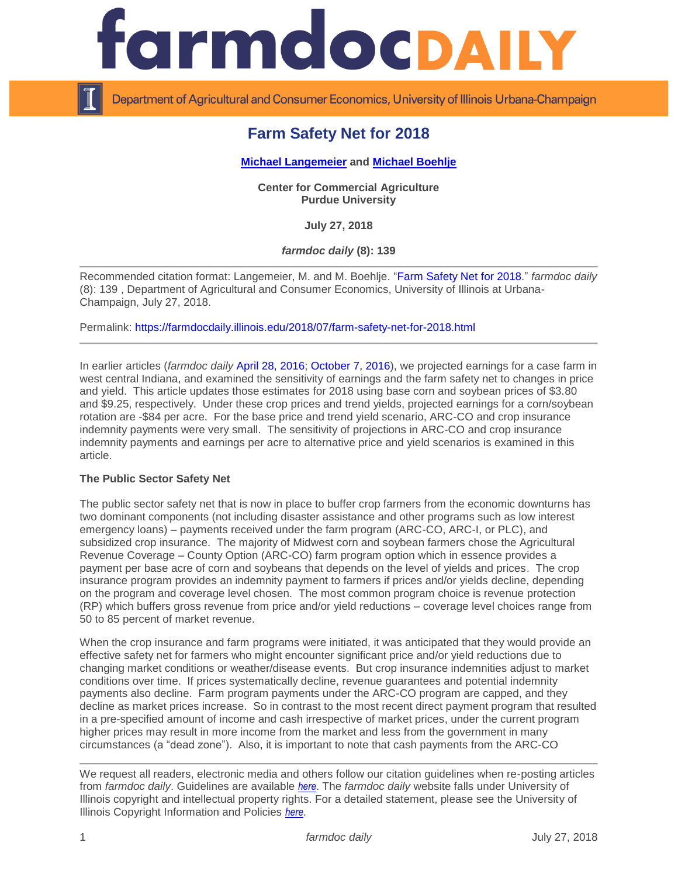

Department of Agricultural and Consumer Economics, University of Illinois Urbana-Champaign

# **Farm Safety Net for 2018**

## **[Michael Langemeier](https://ag.purdue.edu/commercialag/Pages/Faculty-Staff/Langemeier.aspx) and [Michael Boehlje](https://ag.purdue.edu/commercialag/Pages/Faculty-Staff/Boehlje.aspx)**

**Center for Commercial Agriculture Purdue University**

**July 27, 2018**

*farmdoc daily* **(8): 139**

Recommended citation format: Langemeier, M. and M. Boehlje. ["Farm Safety Net for 2018.](https://farmdocdaily.illinois.edu/2018/07/farm-safety-net-for-2018.html)" *farmdoc daily*  (8): 139 , Department of Agricultural and Consumer Economics, University of Illinois at Urbana-Champaign, July 27, 2018.

Permalink:<https://farmdocdaily.illinois.edu/2018/07/farm-safety-net-for-2018.html>

In earlier articles (*farmdoc daily* [April 28, 2016;](https://farmdocdaily.illinois.edu/2016/04/farm-safety-net-good-not-good.html) [October 7, 2016\)](https://farmdocdaily.illinois.edu/2016/10/an-update-on-the-farm-safety-net.html), we projected earnings for a case farm in west central Indiana, and examined the sensitivity of earnings and the farm safety net to changes in price and yield. This article updates those estimates for 2018 using base corn and soybean prices of \$3.80 and \$9.25, respectively. Under these crop prices and trend yields, projected earnings for a corn/soybean rotation are -\$84 per acre. For the base price and trend yield scenario, ARC-CO and crop insurance indemnity payments were very small. The sensitivity of projections in ARC-CO and crop insurance indemnity payments and earnings per acre to alternative price and yield scenarios is examined in this article.

## **The Public Sector Safety Net**

The public sector safety net that is now in place to buffer crop farmers from the economic downturns has two dominant components (not including disaster assistance and other programs such as low interest emergency loans) – payments received under the farm program (ARC-CO, ARC-I, or PLC), and subsidized crop insurance. The majority of Midwest corn and soybean farmers chose the Agricultural Revenue Coverage – County Option (ARC-CO) farm program option which in essence provides a payment per base acre of corn and soybeans that depends on the level of yields and prices. The crop insurance program provides an indemnity payment to farmers if prices and/or yields decline, depending on the program and coverage level chosen. The most common program choice is revenue protection (RP) which buffers gross revenue from price and/or yield reductions – coverage level choices range from 50 to 85 percent of market revenue.

When the crop insurance and farm programs were initiated, it was anticipated that they would provide an effective safety net for farmers who might encounter significant price and/or yield reductions due to changing market conditions or weather/disease events. But crop insurance indemnities adjust to market conditions over time. If prices systematically decline, revenue guarantees and potential indemnity payments also decline. Farm program payments under the ARC-CO program are capped, and they decline as market prices increase. So in contrast to the most recent direct payment program that resulted in a pre-specified amount of income and cash irrespective of market prices, under the current program higher prices may result in more income from the market and less from the government in many circumstances (a "dead zone"). Also, it is important to note that cash payments from the ARC-CO

We request all readers, electronic media and others follow our citation guidelines when re-posting articles from *farmdoc daily*. Guidelines are available *[here](http://farmdocdaily.illinois.edu/citationguide.html)*. The *farmdoc daily* website falls under University of Illinois copyright and intellectual property rights. For a detailed statement, please see the University of Illinois Copyright Information and Policies *[here](http://www.cio.illinois.edu/policies/copyright/)*.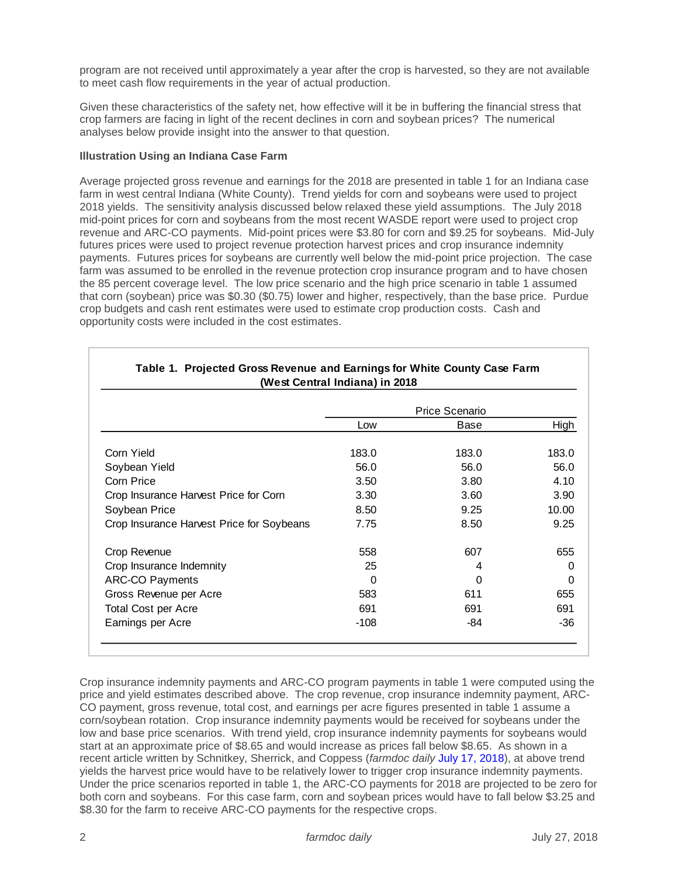program are not received until approximately a year after the crop is harvested, so they are not available to meet cash flow requirements in the year of actual production.

Given these characteristics of the safety net, how effective will it be in buffering the financial stress that crop farmers are facing in light of the recent declines in corn and soybean prices? The numerical analyses below provide insight into the answer to that question.

### **Illustration Using an Indiana Case Farm**

Average projected gross revenue and earnings for the 2018 are presented in table 1 for an Indiana case farm in west central Indiana (White County). Trend yields for corn and soybeans were used to project 2018 yields. The sensitivity analysis discussed below relaxed these yield assumptions. The July 2018 mid-point prices for corn and soybeans from the most recent WASDE report were used to project crop revenue and ARC-CO payments. Mid-point prices were \$3.80 for corn and \$9.25 for soybeans. Mid-July futures prices were used to project revenue protection harvest prices and crop insurance indemnity payments. Futures prices for soybeans are currently well below the mid-point price projection. The case farm was assumed to be enrolled in the revenue protection crop insurance program and to have chosen the 85 percent coverage level. The low price scenario and the high price scenario in table 1 assumed that corn (soybean) price was \$0.30 (\$0.75) lower and higher, respectively, than the base price. Purdue crop budgets and cash rent estimates were used to estimate crop production costs. Cash and opportunity costs were included in the cost estimates.

|                                           | Price Scenario |          |          |  |  |
|-------------------------------------------|----------------|----------|----------|--|--|
|                                           | Low            | Base     | High     |  |  |
| Corn Yield                                | 183.0          | 183.0    | 183.0    |  |  |
| Soybean Yield                             | 56.0           | 56.0     | 56.0     |  |  |
| Corn Price                                | 3.50           | 3.80     | 4.10     |  |  |
| Crop Insurance Harvest Price for Corn     | 3.30           | 3.60     | 3.90     |  |  |
| Soybean Price                             | 8.50           | 9.25     | 10.00    |  |  |
| Crop Insurance Harvest Price for Soybeans | 7.75           | 8.50     | 9.25     |  |  |
| Crop Revenue                              | 558            | 607      | 655      |  |  |
| Crop Insurance Indemnity                  | 25             | 4        | 0        |  |  |
| <b>ARC-CO Payments</b>                    | $\Omega$       | $\Omega$ | $\Omega$ |  |  |
| Gross Revenue per Acre                    | 583            | 611      | 655      |  |  |
| <b>Total Cost per Acre</b>                | 691            | 691      | 691      |  |  |
| Earnings per Acre                         | $-108$         | -84      | $-36$    |  |  |

# **Table 1. Projected Gross Revenue and Earnings for White County Case Farm**

Crop insurance indemnity payments and ARC-CO program payments in table 1 were computed using the price and yield estimates described above. The crop revenue, crop insurance indemnity payment, ARC-CO payment, gross revenue, total cost, and earnings per acre figures presented in table 1 assume a corn/soybean rotation. Crop insurance indemnity payments would be received for soybeans under the low and base price scenarios. With trend yield, crop insurance indemnity payments for soybeans would start at an approximate price of \$8.65 and would increase as prices fall below \$8.65. As shown in a recent article written by Schnitkey, Sherrick, and Coppess (*farmdoc daily* [July 17, 2018\)](https://farmdocdaily.illinois.edu/2018/07/will-soybean-crop-insurance-payments-in-2018-offset-low-prices.html), at above trend yields the harvest price would have to be relatively lower to trigger crop insurance indemnity payments. Under the price scenarios reported in table 1, the ARC-CO payments for 2018 are projected to be zero for both corn and soybeans. For this case farm, corn and soybean prices would have to fall below \$3.25 and \$8.30 for the farm to receive ARC-CO payments for the respective crops.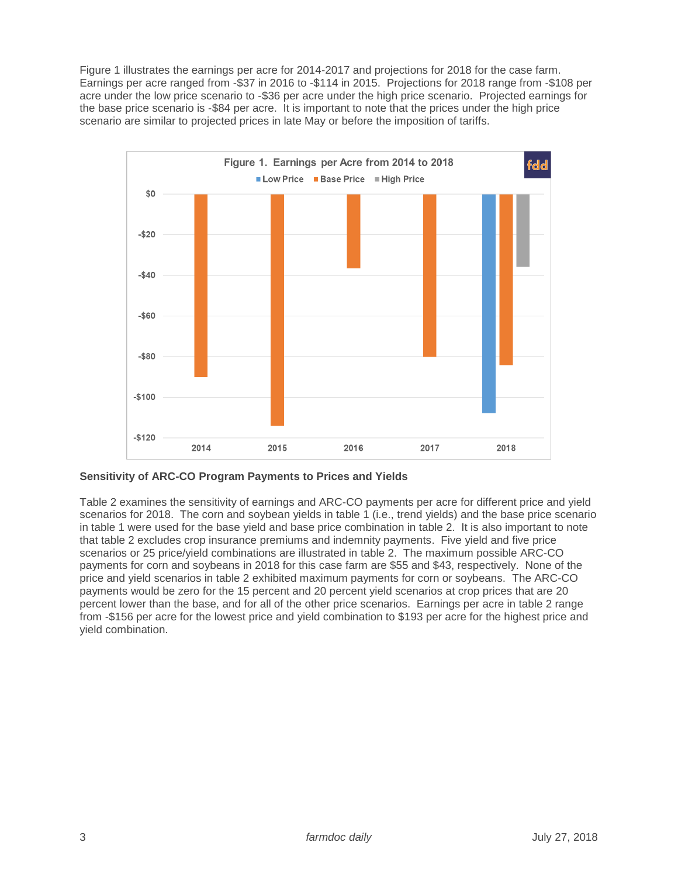Figure 1 illustrates the earnings per acre for 2014-2017 and projections for 2018 for the case farm. Earnings per acre ranged from -\$37 in 2016 to -\$114 in 2015. Projections for 2018 range from -\$108 per acre under the low price scenario to -\$36 per acre under the high price scenario. Projected earnings for the base price scenario is -\$84 per acre. It is important to note that the prices under the high price scenario are similar to projected prices in late May or before the imposition of tariffs.



**Sensitivity of ARC-CO Program Payments to Prices and Yields**

Table 2 examines the sensitivity of earnings and ARC-CO payments per acre for different price and yield scenarios for 2018. The corn and soybean yields in table 1 (i.e., trend yields) and the base price scenario in table 1 were used for the base yield and base price combination in table 2. It is also important to note that table 2 excludes crop insurance premiums and indemnity payments. Five yield and five price scenarios or 25 price/yield combinations are illustrated in table 2. The maximum possible ARC-CO payments for corn and soybeans in 2018 for this case farm are \$55 and \$43, respectively. None of the price and yield scenarios in table 2 exhibited maximum payments for corn or soybeans. The ARC-CO payments would be zero for the 15 percent and 20 percent yield scenarios at crop prices that are 20 percent lower than the base, and for all of the other price scenarios. Earnings per acre in table 2 range from -\$156 per acre for the lowest price and yield combination to \$193 per acre for the highest price and yield combination.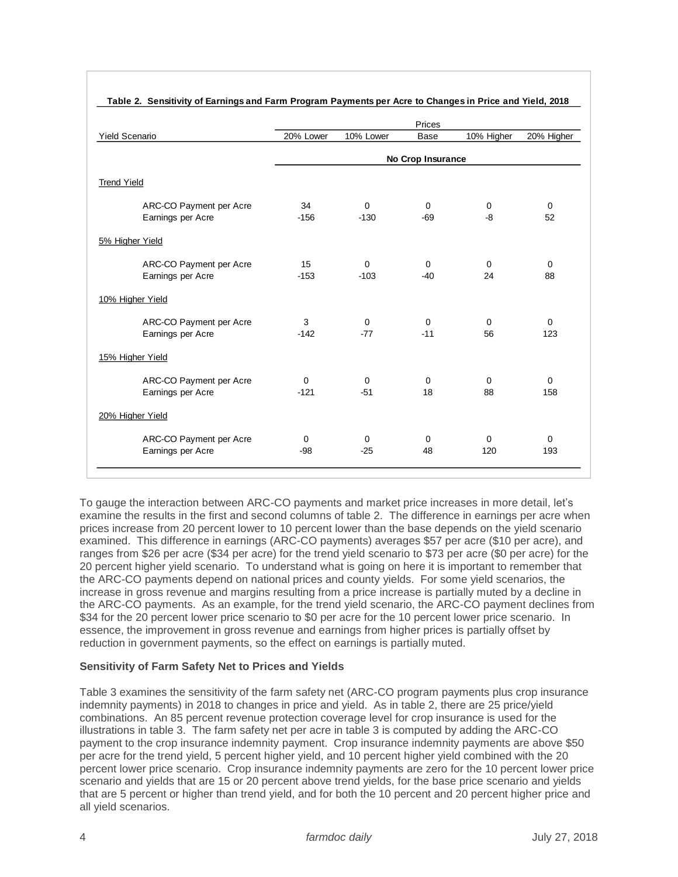|                                                                                                                                                                                                                                                                                                                                                                                                                                                                                                                                                                                                                                                                                                                                                                                                                                                                                                                                                                                                                                                                                                                                                                                                                                                                                  | Prices                |             |            |            |                    |  |  |
|----------------------------------------------------------------------------------------------------------------------------------------------------------------------------------------------------------------------------------------------------------------------------------------------------------------------------------------------------------------------------------------------------------------------------------------------------------------------------------------------------------------------------------------------------------------------------------------------------------------------------------------------------------------------------------------------------------------------------------------------------------------------------------------------------------------------------------------------------------------------------------------------------------------------------------------------------------------------------------------------------------------------------------------------------------------------------------------------------------------------------------------------------------------------------------------------------------------------------------------------------------------------------------|-----------------------|-------------|------------|------------|--------------------|--|--|
| <b>Yield Scenario</b>                                                                                                                                                                                                                                                                                                                                                                                                                                                                                                                                                                                                                                                                                                                                                                                                                                                                                                                                                                                                                                                                                                                                                                                                                                                            | 20% Lower             | 10% Lower   | Base       | 10% Higher | 20% Higher         |  |  |
|                                                                                                                                                                                                                                                                                                                                                                                                                                                                                                                                                                                                                                                                                                                                                                                                                                                                                                                                                                                                                                                                                                                                                                                                                                                                                  | No Crop Insurance     |             |            |            |                    |  |  |
| <b>Trend Yield</b>                                                                                                                                                                                                                                                                                                                                                                                                                                                                                                                                                                                                                                                                                                                                                                                                                                                                                                                                                                                                                                                                                                                                                                                                                                                               |                       |             |            |            |                    |  |  |
| ARC-CO Payment per Acre<br>Earnings per Acre                                                                                                                                                                                                                                                                                                                                                                                                                                                                                                                                                                                                                                                                                                                                                                                                                                                                                                                                                                                                                                                                                                                                                                                                                                     | 34<br>$-156$          | 0<br>$-130$ | 0<br>-69   | 0<br>-8    | 0<br>52            |  |  |
| 5% Higher Yield                                                                                                                                                                                                                                                                                                                                                                                                                                                                                                                                                                                                                                                                                                                                                                                                                                                                                                                                                                                                                                                                                                                                                                                                                                                                  |                       |             |            |            |                    |  |  |
| ARC-CO Payment per Acre<br>Earnings per Acre                                                                                                                                                                                                                                                                                                                                                                                                                                                                                                                                                                                                                                                                                                                                                                                                                                                                                                                                                                                                                                                                                                                                                                                                                                     | 15<br>$-153$          | 0<br>$-103$ | 0<br>-40   | 0<br>24    | 0<br>88            |  |  |
| 10% Higher Yield                                                                                                                                                                                                                                                                                                                                                                                                                                                                                                                                                                                                                                                                                                                                                                                                                                                                                                                                                                                                                                                                                                                                                                                                                                                                 |                       |             |            |            |                    |  |  |
| ARC-CO Payment per Acre<br>Earnings per Acre                                                                                                                                                                                                                                                                                                                                                                                                                                                                                                                                                                                                                                                                                                                                                                                                                                                                                                                                                                                                                                                                                                                                                                                                                                     | 3<br>$-142$           | 0<br>-77    | 0<br>$-11$ | 0<br>56    | $\mathbf 0$<br>123 |  |  |
| 15% Higher Yield                                                                                                                                                                                                                                                                                                                                                                                                                                                                                                                                                                                                                                                                                                                                                                                                                                                                                                                                                                                                                                                                                                                                                                                                                                                                 |                       |             |            |            |                    |  |  |
| ARC-CO Payment per Acre<br>Earnings per Acre                                                                                                                                                                                                                                                                                                                                                                                                                                                                                                                                                                                                                                                                                                                                                                                                                                                                                                                                                                                                                                                                                                                                                                                                                                     | $\mathbf 0$<br>$-121$ | 0<br>$-51$  | 0<br>18    | 0<br>88    | $\mathbf 0$<br>158 |  |  |
| 20% Higher Yield                                                                                                                                                                                                                                                                                                                                                                                                                                                                                                                                                                                                                                                                                                                                                                                                                                                                                                                                                                                                                                                                                                                                                                                                                                                                 |                       |             |            |            |                    |  |  |
| ARC-CO Payment per Acre<br>Earnings per Acre                                                                                                                                                                                                                                                                                                                                                                                                                                                                                                                                                                                                                                                                                                                                                                                                                                                                                                                                                                                                                                                                                                                                                                                                                                     | 0<br>-98              | 0<br>$-25$  | 0<br>48    | 0<br>120   | 0<br>193           |  |  |
| To gauge the interaction between ARC-CO payments and market price increases in more detail, let's<br>examine the results in the first and second columns of table 2. The difference in earnings per acre wher<br>prices increase from 20 percent lower to 10 percent lower than the base depends on the yield scenario<br>examined. This difference in earnings (ARC-CO payments) averages \$57 per acre (\$10 per acre), and<br>ranges from \$26 per acre (\$34 per acre) for the trend yield scenario to \$73 per acre (\$0 per acre) for the<br>20 percent higher yield scenario. To understand what is going on here it is important to remember that<br>the ARC-CO payments depend on national prices and county yields. For some yield scenarios, the<br>increase in gross revenue and margins resulting from a price increase is partially muted by a decline in<br>the ARC-CO payments. As an example, for the trend yield scenario, the ARC-CO payment declines fror<br>\$34 for the 20 percent lower price scenario to \$0 per acre for the 10 percent lower price scenario. In<br>essence, the improvement in gross revenue and earnings from higher prices is partially offset by<br>reduction in government payments, so the effect on earnings is partially muted. |                       |             |            |            |                    |  |  |
| <b>Sensitivity of Farm Safety Net to Prices and Yields</b>                                                                                                                                                                                                                                                                                                                                                                                                                                                                                                                                                                                                                                                                                                                                                                                                                                                                                                                                                                                                                                                                                                                                                                                                                       |                       |             |            |            |                    |  |  |
| Table 3 examines the sensitivity of the farm safety net (ARC-CO program payments plus crop insurance<br>indemnity payments) in 2018 to changes in price and yield. As in table 2, there are 25 price/yield<br>combinations. An 85 percent revenue protection coverage level for crop insurance is used for the<br>illustrations in table 3. The farm safety net per acre in table 3 is computed by adding the ARC-CO<br>payment to the crop insurance indemnity payment. Crop insurance indemnity payments are above \$50<br>per acre for the trend yield, 5 percent higher yield, and 10 percent higher yield combined with the 20<br>percent lower price scenario. Crop insurance indemnity payments are zero for the 10 percent lower pric<br>scenario and yields that are 15 or 20 percent above trend yields, for the base price scenario and yields<br>that are 5 percent or higher than trend yield, and for both the 10 percent and 20 percent higher price and                                                                                                                                                                                                                                                                                                          |                       |             |            |            |                    |  |  |

### **Sensitivity of Farm Safety Net to Prices and Yields**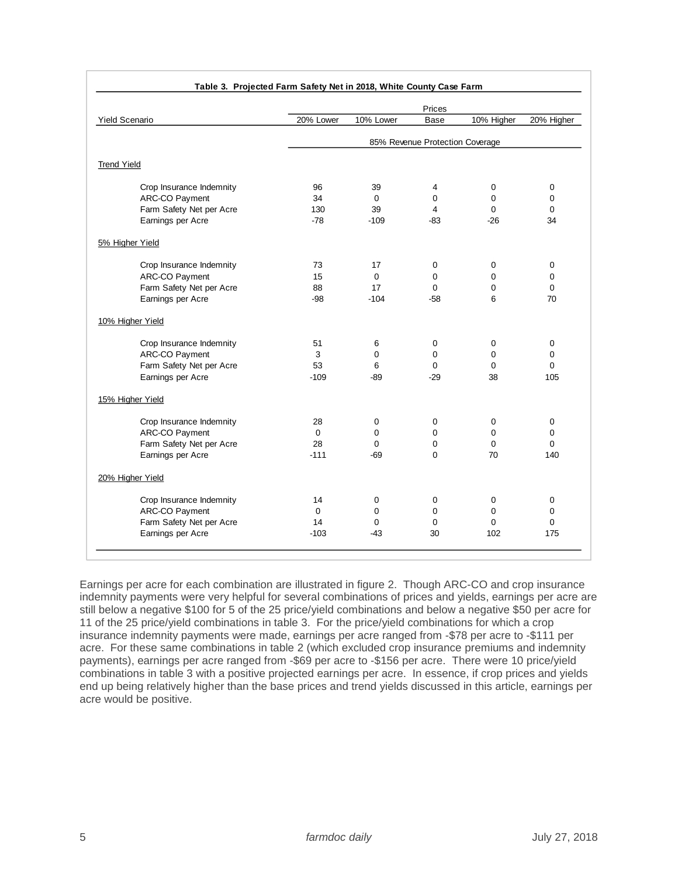| <b>Yield Scenario</b> |                          | Prices                          |             |             |             |             |  |
|-----------------------|--------------------------|---------------------------------|-------------|-------------|-------------|-------------|--|
|                       |                          | 20% Lower                       | 10% Lower   | Base        | 10% Higher  | 20% Higher  |  |
|                       |                          | 85% Revenue Protection Coverage |             |             |             |             |  |
| <b>Trend Yield</b>    |                          |                                 |             |             |             |             |  |
|                       | Crop Insurance Indemnity | 96                              | 39          | 4           | $\mathbf 0$ | $\mathbf 0$ |  |
|                       | ARC-CO Payment           | 34                              | $\mathbf 0$ | $\Omega$    | 0           | $\mathbf 0$ |  |
|                       | Farm Safety Net per Acre | 130                             | 39          | 4           | $\Omega$    | $\mathbf 0$ |  |
|                       | Earnings per Acre        | $-78$                           | $-109$      | $-83$       | $-26$       | 34          |  |
| 5% Higher Yield       |                          |                                 |             |             |             |             |  |
|                       | Crop Insurance Indemnity | 73                              | 17          | $\mathbf 0$ | $\mathbf 0$ | 0           |  |
|                       | ARC-CO Payment           | 15                              | $\mathbf 0$ | 0           | $\mathbf 0$ | 0           |  |
|                       | Farm Safety Net per Acre | 88                              | 17          | $\Omega$    | 0           | $\mathbf 0$ |  |
|                       | Earnings per Acre        | $-98$                           | $-104$      | $-58$       | 6           | 70          |  |
| 10% Higher Yield      |                          |                                 |             |             |             |             |  |
|                       | Crop Insurance Indemnity | 51                              | 6           | 0           | 0           | $\mathbf 0$ |  |
|                       | ARC-CO Payment           | 3                               | $\Omega$    | $\Omega$    | $\Omega$    | $\mathbf 0$ |  |
|                       | Farm Safety Net per Acre | 53                              | 6           | $\Omega$    | $\mathbf 0$ | $\mathbf 0$ |  |
|                       | Earnings per Acre        | $-109$                          | $-89$       | $-29$       | 38          | 105         |  |
| 15% Higher Yield      |                          |                                 |             |             |             |             |  |
|                       | Crop Insurance Indemnity | 28                              | 0           | 0           | 0           | $\mathbf 0$ |  |
|                       | ARC-CO Payment           | $\Omega$                        | $\Omega$    | 0           | $\Omega$    | $\mathbf 0$ |  |
|                       | Farm Safety Net per Acre | 28                              | $\Omega$    | 0           | $\mathbf 0$ | $\mathbf 0$ |  |
|                       | Earnings per Acre        | $-111$                          | -69         | $\Omega$    | 70          | 140         |  |
| 20% Higher Yield      |                          |                                 |             |             |             |             |  |
|                       | Crop Insurance Indemnity | 14                              | 0           | 0           | $\pmb{0}$   | $\pmb{0}$   |  |
|                       | ARC-CO Payment           | $\mathbf 0$                     | 0           | 0           | 0           | 0           |  |
|                       | Farm Safety Net per Acre | 14                              | $\mathbf 0$ | 0           | $\mathbf 0$ | $\mathbf 0$ |  |
|                       | Earnings per Acre        | $-103$                          | $-43$       | 30          | 102         | 175         |  |

Earnings per acre for each combination are illustrated in figure 2. Though ARC-CO and crop insurance indemnity payments were very helpful for several combinations of prices and yields, earnings per acre are still below a negative \$100 for 5 of the 25 price/yield combinations and below a negative \$50 per acre for 11 of the 25 price/yield combinations in table 3. For the price/yield combinations for which a crop insurance indemnity payments were made, earnings per acre ranged from -\$78 per acre to -\$111 per acre. For these same combinations in table 2 (which excluded crop insurance premiums and indemnity payments), earnings per acre ranged from -\$69 per acre to -\$156 per acre. There were 10 price/yield combinations in table 3 with a positive projected earnings per acre. In essence, if crop prices and yields end up being relatively higher than the base prices and trend yields discussed in this article, earnings per acre would be positive.